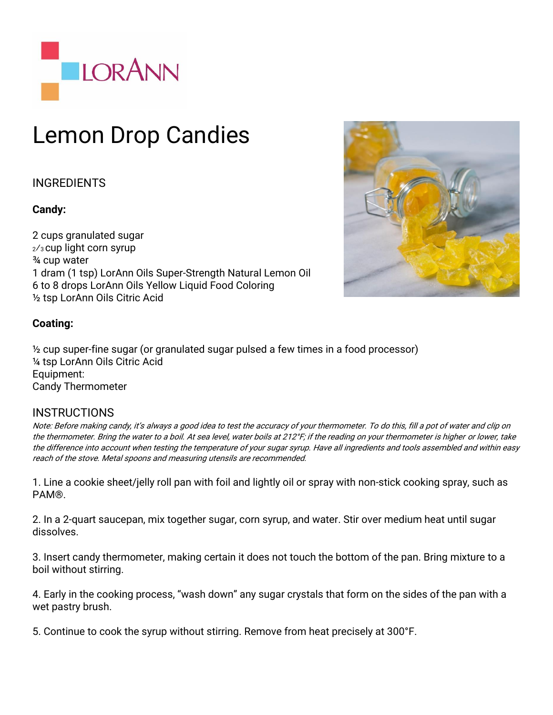

# Lemon Drop Candies

## INGREDIENTS

### **Candy:**

2 cups granulated sugar <sup>2</sup>⁄3 cup light corn syrup ¾ cup water 1 dram (1 tsp) LorAnn Oils Super-Strength Natural Lemon Oil 6 to 8 drops LorAnn Oils Yellow Liquid Food Coloring ½ tsp LorAnn Oils Citric Acid



### **Coating:**

½ cup super-fine sugar (or granulated sugar pulsed a few times in a food processor) ¼ tsp LorAnn Oils Citric Acid Equipment: Candy Thermometer

### **INSTRUCTIONS**

Note: Before making candy, it's always a good idea to test the accuracy of your thermometer. To do this, fill a pot of water and clip on the thermometer. Bring the water to a boil. At sea level, water boils at 212°F; if the reading on your thermometer is higher or lower, take the difference into account when testing the temperature of your sugar syrup. Have all ingredients and tools assembled and within easy reach of the stove. Metal spoons and measuring utensils are recommended.

1. Line a cookie sheet/jelly roll pan with foil and lightly oil or spray with non-stick cooking spray, such as PAM®.

2. In a 2-quart saucepan, mix together sugar, corn syrup, and water. Stir over medium heat until sugar dissolves.

3. Insert candy thermometer, making certain it does not touch the bottom of the pan. Bring mixture to a boil without stirring.

4. Early in the cooking process, "wash down" any sugar crystals that form on the sides of the pan with a wet pastry brush.

5. Continue to cook the syrup without stirring. Remove from heat precisely at 300°F.